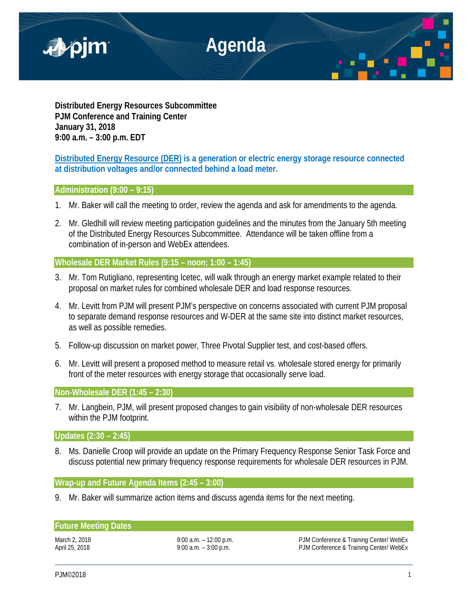

**Distributed Energy Resources Subcommittee PJM Conference and Training Center January 31, 2018 9:00 a.m. – 3:00 p.m. EDT**

# **Distributed Energy Resource (DER) is a generation or electric energy storage resource connected at distribution voltages and/or connected behind a load meter.**

## **Administration (9:00 – 9:15)**

- 1. Mr. Baker will call the meeting to order, review the agenda and ask for amendments to the agenda.
- 2. Mr. Gledhill will review meeting participation guidelines and the minutes from the January 5th meeting of the Distributed Energy Resources Subcommittee. Attendance will be taken offline from a combination of in-person and WebEx attendees.

## **Wholesale DER Market Rules (9:15 – noon; 1:00 – 1:45)**

- 3. Mr. Tom Rutigliano, representing Icetec, will walk through an energy market example related to their proposal on market rules for combined wholesale DER and load response resources.
- 4. Mr. Levitt from PJM will present PJM's perspective on concerns associated with current PJM proposal to separate demand response resources and W-DER at the same site into distinct market resources, as well as possible remedies.
- 5. Follow-up discussion on market power, Three Pivotal Supplier test, and cost-based offers.
- 6. Mr. Levitt will present a proposed method to measure retail vs. wholesale stored energy for primarily front of the meter resources with energy storage that occasionally serve load.

**Non-Wholesale DER (1:45 – 2:30)** 

7. Mr. Langbein, PJM, will present proposed changes to gain visibility of non-wholesale DER resources within the PJM footprint.

**Updates (2:30 – 2:45)**

8. Ms. Danielle Croop will provide an update on the Primary Frequency Response Senior Task Force and discuss potential new primary frequency response requirements for wholesale DER resources in PJM.

**Wrap-up and Future Agenda Items (2:45 – 3:00)**

9. Mr. Baker will summarize action items and discuss agenda items for the next meeting.

### **Future Meeting Dates**

March 2, 2018 **9:00 a.m. – 12:00 p.m.** PJM Conference & Training Center/ WebEx April 25, 2018 **19:00 a.m.** – 3:00 p.m. **PJM Conference & Training Center/ WebEx**